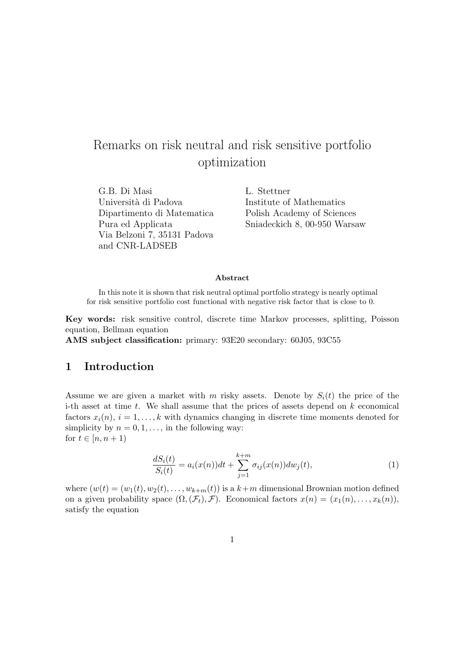# Remarks on risk neutral and risk sensitive portfolio optimization

G.B. Di Masi *L.* Stettner Università di Padova Institute of Mathematics Dipartimento di Matematica Polish Academy of Sciences Via Belzoni 7, 35131 Padova and CNR-LADSEB

Pura ed Applicata Sniadeckich 8, 00-950 Warsaw

#### Abstract

In this note it is shown that risk neutral optimal portfolio strategy is nearly optimal for risk sensitive portfolio cost functional with negative risk factor that is close to 0.

Key words: risk sensitive control, discrete time Markov processes, splitting, Poisson equation, Bellman equation

AMS subject classification: primary: 93E20 secondary: 60J05, 93C55

# 1 Introduction

Assume we are given a market with m risky assets. Denote by  $S_i(t)$  the price of the i-th asset at time  $t$ . We shall assume that the prices of assets depend on  $k$  economical factors  $x_i(n)$ ,  $i = 1, \ldots, k$  with dynamics changing in discrete time moments denoted for simplicity by  $n = 0, 1, \ldots$ , in the following way: for  $t \in [n, n+1)$ 

$$
\frac{dS_i(t)}{S_i(t)} = a_i(x(n))dt + \sum_{j=1}^{k+m} \sigma_{ij}(x(n))dw_j(t),
$$
\n(1)

where  $(w(t) = (w_1(t), w_2(t), \ldots, w_{k+m}(t))$  is a  $k+m$  dimensional Brownian motion defined on a given probability space  $(\Omega, (\mathcal{F}_t), \mathcal{F})$ . Economical factors  $x(n) = (x_1(n), \ldots, x_k(n)),$ satisfy the equation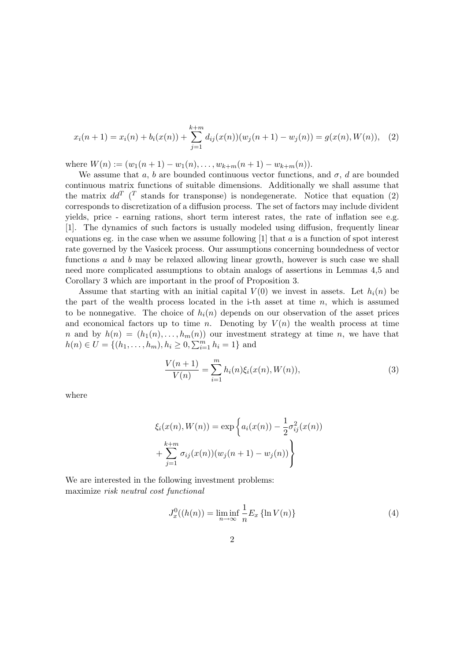$$
x_i(n+1) = x_i(n) + b_i(x(n)) + \sum_{j=1}^{k+m} d_{ij}(x(n))(w_j(n+1) - w_j(n)) = g(x(n), W(n)), \quad (2)
$$

where  $W(n) := (w_1(n+1) - w_1(n), \ldots, w_{k+m}(n+1) - w_{k+m}(n)).$ 

We assume that a, b are bounded continuous vector functions, and  $\sigma$ , d are bounded continuous matrix functions of suitable dimensions. Additionally we shall assume that the matrix  $dd^T$  (<sup>T</sup> stands for transponse) is nondegenerate. Notice that equation (2) corresponds to discretization of a diffusion process. The set of factors may include divident yields, price - earning rations, short term interest rates, the rate of inflation see e.g. [1]. The dynamics of such factors is usually modeled using diffusion, frequently linear equations eg. in the case when we assume following  $[1]$  that a is a function of spot interest rate governed by the Vasicek process. Our assumptions concerning boundedness of vector functions a and b may be relaxed allowing linear growth, however is such case we shall need more complicated assumptions to obtain analogs of assertions in Lemmas 4,5 and Corollary 3 which are important in the proof of Proposition 3.

Assume that starting with an initial capital  $V(0)$  we invest in assets. Let  $h_i(n)$  be the part of the wealth process located in the i-th asset at time  $n$ , which is assumed to be nonnegative. The choice of  $h_i(n)$  depends on our observation of the asset prices and economical factors up to time n. Denoting by  $V(n)$  the wealth process at time n and by  $h(n) = (h_1(n), \ldots, h_m(n))$  our investment strategy at time n, we have that  $h(n) \in U = \{(h_1, \ldots, h_m), h_i \ge 0, \sum_{i=1}^m h_i = 1\}$  and

$$
\frac{V(n+1)}{V(n)} = \sum_{i=1}^{m} h_i(n) \xi_i(x(n), W(n)),
$$
\n(3)

where

$$
\xi_i(x(n), W(n)) = \exp \left\{ a_i(x(n)) - \frac{1}{2} \sigma_{ij}^2(x(n)) + \sum_{j=1}^{k+m} \sigma_{ij}(x(n)) (w_j(n+1) - w_j(n)) \right\}
$$

We are interested in the following investment problems: maximize risk neutral cost functional

$$
J_x^0((h(n)) = \liminf_{n \to \infty} \frac{1}{n} E_x \{\ln V(n)\}
$$
 (4)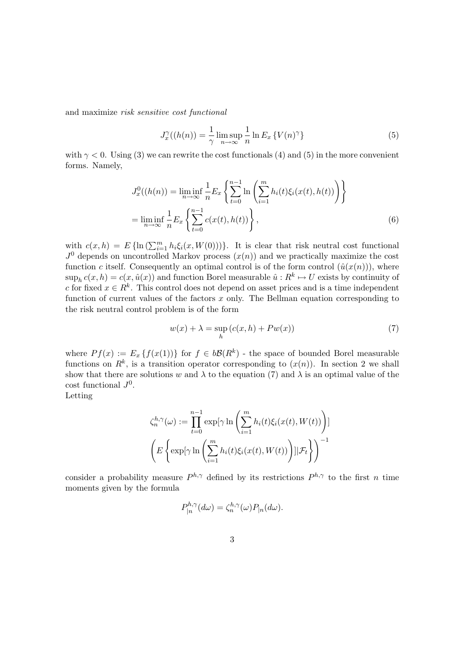and maximize risk sensitive cost functional

$$
J_x^{\gamma}((h(n)) = \frac{1}{\gamma} \limsup_{n \to \infty} \frac{1}{n} \ln E_x \{ V(n)^\gamma \}
$$
 (5)

with  $\gamma$  < 0. Using (3) we can rewrite the cost functionals (4) and (5) in the more convenient forms. Namely,

$$
J_x^0((h(n)) = \liminf_{n \to \infty} \frac{1}{n} E_x \left\{ \sum_{t=0}^{n-1} \ln \left( \sum_{i=1}^m h_i(t) \xi_i(x(t), h(t)) \right) \right\}
$$
  
= 
$$
\liminf_{n \to \infty} \frac{1}{n} E_x \left\{ \sum_{t=0}^{n-1} c(x(t), h(t)) \right\},
$$
 (6)

with  $c(x, h) = E\{\ln(\sum_{i=1}^m h_i \xi_i(x, W(0)))\}$ . It is clear that risk neutral cost functional  $J^0$  depends on uncontrolled Markov process  $(x(n))$  and we practically maximize the cost function c itself. Consequently an optimal control is of the form control  $(\hat{u}(x(n)))$ , where  $\sup_h c(x, h) = c(x, \hat{u}(x))$  and function Borel measurable  $\hat{u}: R^k \mapsto U$  exists by continuity of c for fixed  $x \in R^k$ . This control does not depend on asset prices and is a time independent function of current values of the factors  $x$  only. The Bellman equation corresponding to the risk neutral control problem is of the form

$$
w(x) + \lambda = \sup_{h} (c(x, h) + P w(x))
$$
\n(7)

where  $Pf(x) := E_x \{f(x(1))\}$  for  $f \in b\mathcal{B}(R^k)$  - the space of bounded Borel measurable functions on  $R^k$ , is a transition operator corresponding to  $(x(n))$ . In section 2 we shall show that there are solutions w and  $\lambda$  to the equation (7) and  $\lambda$  is an optimal value of the  $\cot$  functional  $J^0$ .

Letting

$$
\zeta_n^{h,\gamma}(\omega) := \prod_{t=0}^{n-1} \exp[\gamma \ln \left( \sum_{i=1}^m h_i(t)\xi_i(x(t), W(t)) \right)]
$$

$$
\left( E \left\{ \exp[\gamma \ln \left( \sum_{i=1}^m h_i(t)\xi_i(x(t), W(t)) \right) ] | \mathcal{F}_t \right\} \right)^{-1}
$$

consider a probability measure  $P^{h,\gamma}$  defined by its restrictions  $P^{h,\gamma}$  to the first n time moments given by the formula

$$
P_{|n}^{h,\gamma}(d\omega) = \zeta_n^{h,\gamma}(\omega) P_{|n}(d\omega).
$$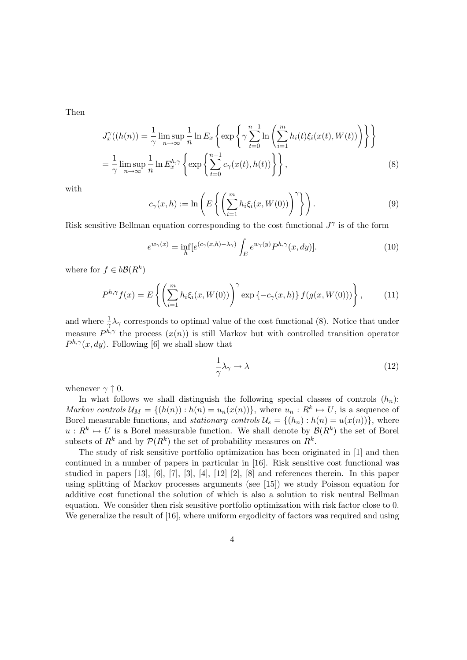Then

$$
J_x^{\gamma}((h(n)) = \frac{1}{\gamma} \limsup_{n \to \infty} \frac{1}{n} \ln E_x \left\{ \exp \left\{ \gamma \sum_{t=0}^{n-1} \ln \left( \sum_{i=1}^m h_i(t) \xi_i(x(t), W(t)) \right) \right\} \right\}
$$
  
=  $\frac{1}{\gamma} \limsup_{n \to \infty} \frac{1}{n} \ln E_x^{h,\gamma} \left\{ \exp \left\{ \sum_{t=0}^{n-1} c_{\gamma}(x(t), h(t)) \right\} \right\},$  (8)

with

$$
c_{\gamma}(x,h) := \ln\left(E\left\{ \left(\sum_{i=1}^{m} h_i \xi_i(x, W(0))\right)^{\gamma} \right\} \right).
$$
\n(9)

Risk sensitive Bellman equation corresponding to the cost functional  $J^{\gamma}$  is of the form

$$
e^{w_{\gamma}(x)} = \inf_{h} \left[e^{(c_{\gamma}(x,h) - \lambda_{\gamma})} \int_{E} e^{w_{\gamma}(y)} P^{h,\gamma}(x, dy)\right].
$$
 (10)

where for  $f \in b\mathcal{B}(R^k)$ 

$$
P^{h,\gamma}f(x) = E\left\{ \left( \sum_{i=1}^{m} h_i \xi_i(x, W(0)) \right)^{\gamma} \exp\left\{ -c_{\gamma}(x, h) \right\} f(g(x, W(0))) \right\},\qquad(11)
$$

and where  $\frac{1}{\gamma} \lambda_{\gamma}$  corresponds to optimal value of the cost functional (8). Notice that under measure  $P^{h,\gamma}$  the process  $(x(n))$  is still Markov but with controlled transition operator  $P^{h,\gamma}(x,dy)$ . Following [6] we shall show that

$$
\frac{1}{\gamma}\lambda_{\gamma} \to \lambda \tag{12}
$$

whenever  $\gamma \uparrow 0$ .

In what follows we shall distinguish the following special classes of controls  $(h_n)$ : Markov controls  $\mathcal{U}_M = \{(h(n)) : h(n) = u_n(x(n))\}$ , where  $u_n : R^k \mapsto U$ , is a sequence of Borel measurable functions, and *stationary controls*  $\mathcal{U}_s = \{(h_n): h(n) = u(x(n))\}$ , where  $u: R^k \mapsto U$  is a Borel measurable function. We shall denote by  $\mathcal{B}(R^k)$  the set of Borel subsets of  $R^k$  and by  $\mathcal{P}(R^k)$  the set of probability measures on  $R^k$ .

The study of risk sensitive portfolio optimization has been originated in [1] and then continued in a number of papers in particular in [16]. Risk sensitive cost functional was studied in papers [13], [6], [7], [3], [4], [12] [2], [8] and references therein. In this paper using splitting of Markov processes arguments (see [15]) we study Poisson equation for additive cost functional the solution of which is also a solution to risk neutral Bellman equation. We consider then risk sensitive portfolio optimization with risk factor close to 0. We generalize the result of [16], where uniform ergodicity of factors was required and using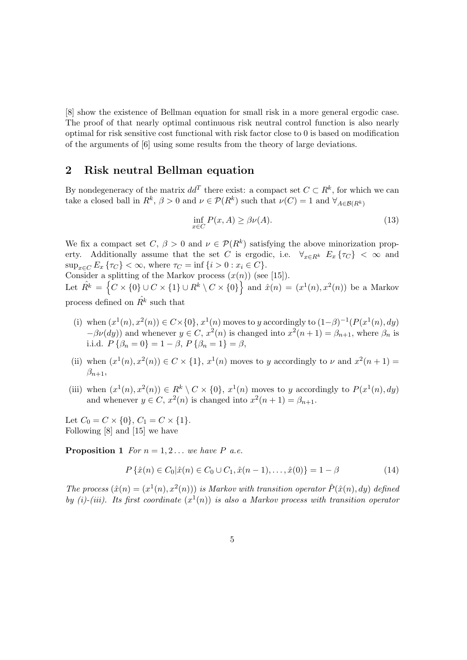[8] show the existence of Bellman equation for small risk in a more general ergodic case. The proof of that nearly optimal continuous risk neutral control function is also nearly optimal for risk sensitive cost functional with risk factor close to 0 is based on modification of the arguments of [6] using some results from the theory of large deviations.

# 2 Risk neutral Bellman equation

By nondegeneracy of the matrix  $dd^T$  there exist: a compact set  $C \subset \mathbb{R}^k$ , for which we can take a closed ball in  $R^k$ ,  $\beta > 0$  and  $\nu \in \mathcal{P}(R^k)$  such that  $\nu(C) = 1$  and  $\forall_{A \in \mathcal{B}(R^k)}$ 

$$
\inf_{x \in C} P(x, A) \ge \beta \nu(A). \tag{13}
$$

We fix a compact set  $C, \beta > 0$  and  $\nu \in \mathcal{P}(R^k)$  satisfying the above minorization property. Additionally assume that the set C is ergodic, i.e.  $\forall_{x \in R^k} E_x \{\tau_C\} < \infty$  and  $\sup_{x \in C} E_x \{ \tau_C \} < \infty$ , where  $\tau_C = \inf \{ i > 0 : x_i \in C \}.$ Consider a splitting of the Markov process  $(x(n))$  (see [15]).

Consider a s<br>Let  $\hat{R^k} = \{$  $C \times \{0\} \cup C \times \{1\} \cup R^k \setminus C \times \{0\}$  $\frac{1}{2}$ and  $\hat{x}(n) = (x^1(n), x^2(n))$  be a Markov process defined on  $\hat{R}^k$  such that

- (i) when  $(x^1(n), x^2(n)) \in C \times \{0\}, x^1(n)$  moves to y accordingly to  $(1-\beta)^{-1}(P(x^1(n), dy))$  $-\beta\nu(dy)$  and whenever  $y \in C$ ,  $x^2(n)$  is changed into  $x^2(n+1) = \beta_{n+1}$ , where  $\beta_n$  is i.i.d.  $P\{\beta_n = 0\} = 1 - \beta$ ,  $P\{\beta_n = 1\} = \beta$ ,
- (ii) when  $(x^1(n), x^2(n)) \in C \times \{1\}$ ,  $x^1(n)$  moves to y accordingly to  $\nu$  and  $x^2(n+1) =$  $\beta_{n+1},$
- (iii) when  $(x^1(n), x^2(n)) \in R^k \setminus C \times \{0\}, x^1(n)$  moves to y accordingly to  $P(x^1(n), dy)$ and whenever  $y \in C$ ,  $x^2(n)$  is changed into  $x^2(n+1) = \beta_{n+1}$ .

Let  $C_0 = C \times \{0\}$ ,  $C_1 = C \times \{1\}$ . Following [8] and [15] we have

**Proposition 1** For  $n = 1, 2...$  we have P a.e.

$$
P\{\hat{x}(n) \in C_0 | \hat{x}(n) \in C_0 \cup C_1, \hat{x}(n-1), \dots, \hat{x}(0)\} = 1 - \beta
$$
\n(14)

The process  $(\hat{x}(n) = (x^1(n), x^2(n)))$  is Markov with transition operator  $\hat{P}(\hat{x}(n), dy)$  defined by (i)-(iii). Its first coordinate  $(x^1(n))$  is also a Markov process with transition operator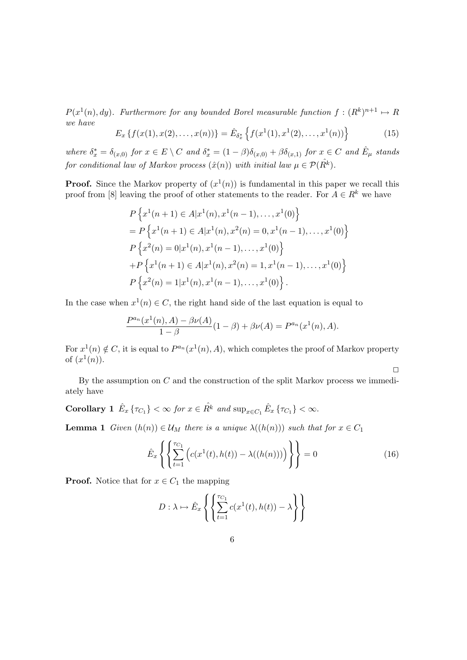$P(x^1(n), dy)$ . Furthermore for any bounded Borel measurable function  $f: (R^k)^{n+1} \mapsto R$ we have n

$$
E_x\left\{f(x(1),x(2),\ldots,x(n))\right\} = \hat{E}_{\delta_x^*}\left\{f(x^1(1),x^1(2),\ldots,x^1(n))\right\}
$$
(15)

where  $\delta_x^* = \delta_{(x,0)}$  for  $x \in E \setminus C$  and  $\delta_x^* = (1 - \beta)\delta_{(x,0)} + \beta \delta_{(x,1)}$  for  $x \in C$  and  $\hat{E}_{\mu}$  stands for conditional law of Markov process  $(\hat{x}(n))$  with initial law  $\mu \in \mathcal{P}(\hat{R^k})$ .

**Proof.** Since the Markov property of  $(x^1(n))$  is fundamental in this paper we recall this proof from [8] leaving the proof of other statements to the reader. For  $A \in R^k$  we have

$$
P\left\{x^{1}(n+1) \in A|x^{1}(n), x^{1}(n-1), \ldots, x^{1}(0)\right\}
$$
  
=  $P\left\{x^{1}(n+1) \in A|x^{1}(n), x^{2}(n) = 0, x^{1}(n-1), \ldots, x^{1}(0)\right\}$   
 $P\left\{x^{2}(n) = 0|x^{1}(n), x^{1}(n-1), \ldots, x^{1}(0)\right\}$   
+  $P\left\{x^{1}(n+1) \in A|x^{1}(n), x^{2}(n) = 1, x^{1}(n-1), \ldots, x^{1}(0)\right\}$   
 $P\left\{x^{2}(n) = 1|x^{1}(n), x^{1}(n-1), \ldots, x^{1}(0)\right\}.$ 

In the case when  $x^1(n) \in C$ , the right hand side of the last equation is equal to

$$
\frac{P^{a_n}(x^1(n), A) - \beta \nu(A)}{1 - \beta}(1 - \beta) + \beta \nu(A) = P^{a_n}(x^1(n), A).
$$

For  $x^1(n) \notin C$ , it is equal to  $P^{a_n}(x^1(n), A)$ , which completes the proof of Markov property of  $(x^1(n))$ .

By the assumption on  $C$  and the construction of the split Markov process we immediately have

Corollary 1  $\hat{E}_x \{ \tau_{C_1} \} < \infty$  for  $x \in \hat{R^k}$  and  $\sup_{x \in C_1} \hat{E}_x \{ \tau_{C_1} \} < \infty$ .

**Lemma 1** Given  $(h(n)) \in \mathcal{U}_M$  there is a unique  $\lambda((h(n)))$  such that for  $x \in C_1$ 

$$
\hat{E}_x \left\{ \left\{ \sum_{t=1}^{\tau_{C_1}} \left( c(x^1(t), h(t)) - \lambda((h(n))) \right) \right\} \right\} = 0 \tag{16}
$$

 $\Box$ 

**Proof.** Notice that for  $x \in C_1$  the mapping

$$
D: \lambda \mapsto \hat{E}_x \left\{ \left\{ \sum_{t=1}^{\tau_{C_1}} c(x^1(t), h(t)) - \lambda \right\} \right\}
$$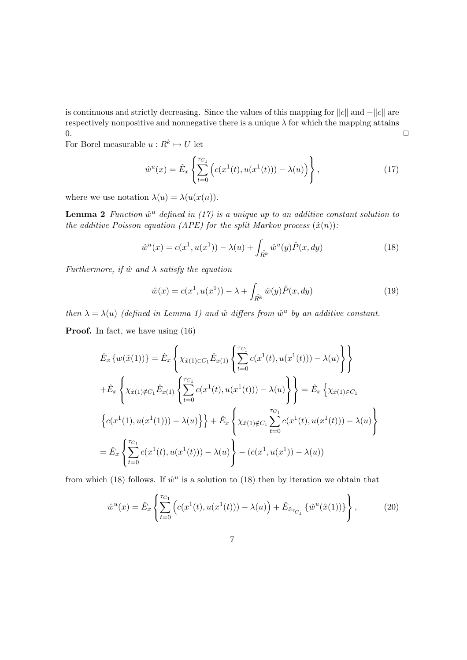is continuous and strictly decreasing. Since the values of this mapping for  $||c||$  and  $-||c||$  are respectively nonpositive and nonnegative there is a unique  $\lambda$  for which the mapping attains  $0.$ 

For Borel measurable  $u: R^k \mapsto U$  let

$$
\hat{w}^u(x) = \hat{E}_x \left\{ \sum_{t=0}^{\tau_{C_1}} \left( c(x^1(t), u(x^1(t))) - \lambda(u) \right) \right\},\tag{17}
$$

where we use notation  $\lambda(u) = \lambda(u(x(n))).$ 

**Lemma 2** Function  $\hat{w}^u$  defined in (17) is a unique up to an additive constant solution to the additive Poisson equation (APE) for the split Markov process  $(\hat{x}(n))$ :

$$
\hat{w}^u(x) = c(x^1, u(x^1)) - \lambda(u) + \int_{\hat{R}^k} \hat{w}^u(y) \hat{P}(x, dy)
$$
\n(18)

Furthermore, if  $\hat{w}$  and  $\lambda$  satisfy the equation

$$
\hat{w}(x) = c(x^1, u(x^1)) - \lambda + \int_{\hat{R}^k} \hat{w}(y) \hat{P}(x, dy)
$$
\n(19)

then  $\lambda = \lambda(u)$  (defined in Lemma 1) and  $\hat{w}$  differs from  $\hat{w}^u$  by an additive constant.

Proof. In fact, we have using  $(16)$ 

$$
\hat{E}_x \{ w(\hat{x}(1)) \} = \hat{E}_x \left\{ \chi_{\hat{x}(1) \in C_1} \hat{E}_{x(1)} \left\{ \sum_{t=0}^{\tau_{C_1}} c(x^1(t), u(x^1(t))) - \lambda(u) \right\} \right\} \n+ \hat{E}_x \left\{ \chi_{\hat{x}(1) \notin C_1} \hat{E}_{x(1)} \left\{ \sum_{t=0}^{\tau_{C_1}} c(x^1(t), u(x^1(t))) - \lambda(u) \right\} \right\} = \hat{E}_x \left\{ \chi_{\hat{x}(1) \in C_1} \right\} \n+ c(x^1(1), u(x^1(1))) - \lambda(u) \right\} + \hat{E}_x \left\{ \chi_{\hat{x}(1) \notin C_1} \sum_{t=0}^{\tau_{C_1}} c(x^1(t), u(x^1(t))) - \lambda(u) \right\} \n= \hat{E}_x \left\{ \sum_{t=0}^{\tau_{C_1}} c(x^1(t), u(x^1(t))) - \lambda(u) \right\} - (c(x^1, u(x^1)) - \lambda(u))
$$

from which (18) follows. If  $\hat{w}^u$  is a solution to (18) then by iteration we obtain that

$$
\hat{w}^u(x) = \hat{E}_x \left\{ \sum_{t=0}^{\tau_{C_1}} \left( c(x^1(t), u(x^1(t))) - \lambda(u) \right) + \hat{E}_{\hat{x}_{\tau_{C_1}}} \left\{ \hat{w}^u(\hat{x}(1)) \right\} \right\},
$$
(20)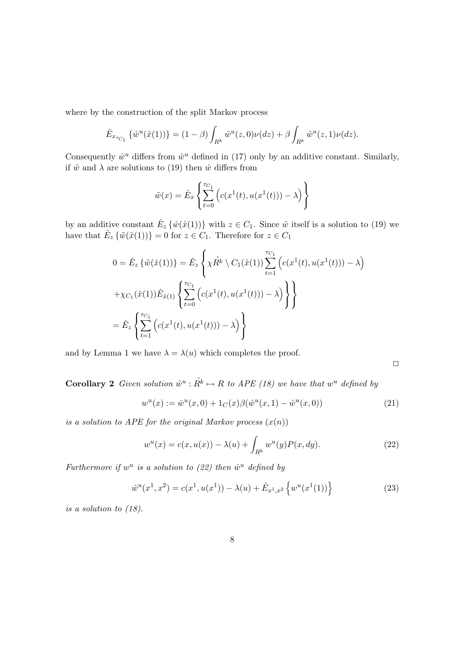where by the construction of the split Markov process

$$
\hat{E}_{x_{\tau_{C_1}}} \left\{ \hat{w}^u(\hat{x}(1)) \right\} = (1 - \beta) \int_{R^k} \hat{w}^u(z,0) \nu(dz) + \beta \int_{R^k} \hat{w}^u(z,1) \nu(dz).
$$

Consequently  $\hat{w}^u$  differs from  $\hat{w}^u$  defined in (17) only by an additive constant. Similarly, if  $\hat{w}$  and  $\lambda$  are solutions to (19) then  $\hat{w}$  differs from

$$
\tilde{w}(x) = \hat{E}_x \left\{ \sum_{t=0}^{\tau_{C_1}} \left( c(x^1(t), u(x^1(t))) - \lambda \right) \right\}
$$

by an additive constant  $\hat{E}_z \{\hat{w}(\hat{x}(1))\}$  with  $z \in C_1$ . Since  $\tilde{w}$  itself is a solution to (19) we have that  $\hat{E}_z \{\tilde{w}(\hat{x}(1))\} = 0$  for  $z \in C_1$ . Therefore for  $z \in C_1$ 

$$
0 = \hat{E}_z \left\{ \tilde{w}(\hat{x}(1)) \right\} = \hat{E}_z \left\{ \chi \hat{R}^k \setminus C_1(\hat{x}(1)) \sum_{t=1}^{\tau_{C_1}} \left( c(x^1(t), u(x^1(t))) - \lambda \right) \right\}
$$

$$
+ \chi_{C_1}(\hat{x}(1)) \hat{E}_{\hat{x}(1)} \left\{ \sum_{t=0}^{\tau_{C_1}} \left( c(x^1(t), u(x^1(t))) - \lambda \right) \right\}
$$

$$
= \hat{E}_z \left\{ \sum_{t=1}^{\tau_{C_1}} \left( c(x^1(t), u(x^1(t))) - \lambda \right) \right\}
$$

and by Lemma 1 we have  $\lambda = \lambda(u)$  which completes the proof.

 $\Box$ 

**Corollary 2** Given solution  $\hat{w}^u : \hat{R^k} \mapsto R$  to APE (18) we have that  $w^u$  defined by

$$
w^{u}(x) := \hat{w}^{u}(x,0) + 1_{C}(x)\beta(\hat{w}^{u}(x,1) - \hat{w}^{u}(x,0))
$$
\n(21)

is a solution to APE for the original Markov process  $(x(n))$ 

$$
w^{u}(x) = c(x, u(x)) - \lambda(u) + \int_{R^{k}} w^{u}(y)P(x, dy).
$$
 (22)

Furthermore if  $w^u$  is a solution to (22) then  $\hat{w}^u$  defined by

$$
\hat{w}^u(x^1, x^2) = c(x^1, u(x^1)) - \lambda(u) + \hat{E}_{x^1, x^2} \left\{ w^u(x^1(1)) \right\}
$$
\n(23)

is a solution to (18).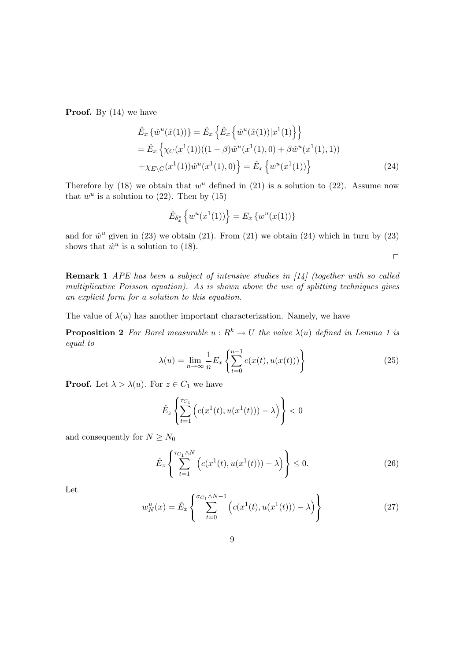**Proof.** By  $(14)$  we have

$$
\hat{E}_x \{\hat{w}^u(\hat{x}(1))\} = \hat{E}_x \left\{ \hat{E}_x \{\hat{w}^u(\hat{x}(1)) | x^1(1) \} \right\} \n= \hat{E}_x \left\{ \chi_C(x^1(1)) ((1 - \beta) \hat{w}^u(x^1(1), 0) + \beta \hat{w}^u(x^1(1), 1)) + \chi_{E \setminus C}(x^1(1)) \hat{w}^u(x^1(1), 0) \right\} = \hat{E}_x \left\{ w^u(x^1(1)) \right\}
$$
\n(24)

Therefore by (18) we obtain that  $w^u$  defined in (21) is a solution to (22). Assume now that  $w^u$  is a solution to (22). Then by (15)

$$
\hat{E}_{\delta_x^*} \left\{ w^u(x^1(1)) \right\} = E_x \left\{ w^u(x(1)) \right\}
$$

and for  $\hat{w}^u$  given in (23) we obtain (21). From (21) we obtain (24) which in turn by (23) shows that  $\hat{w}^u$  is a solution to (18).

 $\Box$ 

Remark 1 APE has been a subject of intensive studies in [14] (together with so called multiplicative Poisson equation). As is shown above the use of splitting techniques gives an explicit form for a solution to this equation.

The value of  $\lambda(u)$  has another important characterization. Namely, we have

**Proposition 2** For Borel measurable  $u : R^k \to U$  the value  $\lambda(u)$  defined in Lemma 1 is equal to

$$
\lambda(u) = \lim_{n \to \infty} \frac{1}{n} E_x \left\{ \sum_{t=0}^{n-1} c(x(t), u(x(t))) \right\} \tag{25}
$$

**Proof.** Let  $\lambda > \lambda(u)$ . For  $z \in C_1$  we have

$$
\hat{E}_z \left\{ \sum_{t=1}^{\tau_{C_1}} \left( c(x^1(t), u(x^1(t))) - \lambda \right) \right\} < 0
$$

and consequently for  $N\ge N_0$ 

$$
\hat{E}_z \left\{ \sum_{t=1}^{\tau_{C_1} \wedge N} \left( c(x^1(t), u(x^1(t))) - \lambda \right) \right\} \le 0. \tag{26}
$$

Let

$$
w_N^u(x) = \hat{E}_x \left\{ \sum_{t=0}^{\sigma_{C_1} \wedge N - 1} \left( c(x^1(t), u(x^1(t))) - \lambda \right) \right\}
$$
 (27)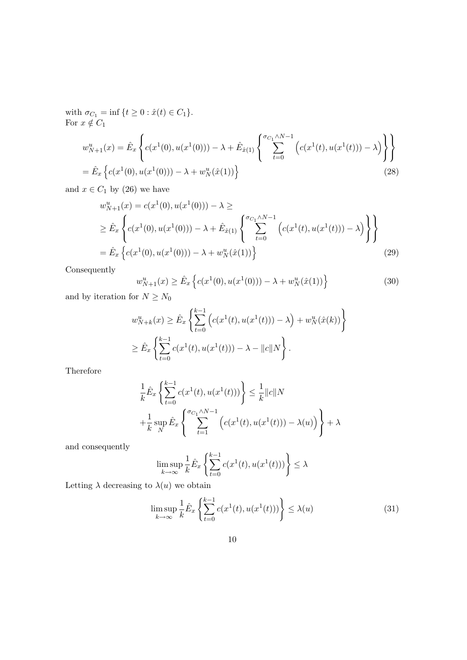with  $\sigma_{C_1} = \inf \{ t \ge 0 : \hat{x}(t) \in C_1 \}.$ For  $x \notin C_1$ 

$$
w_{N+1}^{u}(x) = \hat{E}_{x} \left\{ c(x^{1}(0), u(x^{1}(0))) - \lambda + \hat{E}_{\hat{x}(1)} \left\{ \sum_{t=0}^{\sigma_{C_{1}} \wedge N-1} \left( c(x^{1}(t), u(x^{1}(t))) - \lambda \right) \right\} \right\}
$$
  
=  $\hat{E}_{x} \left\{ c(x^{1}(0), u(x^{1}(0))) - \lambda + w_{N}^{u}(\hat{x}(1)) \right\}$  (28)

and  $x \in C_1$  by (26) we have

$$
w_{N+1}^{u}(x) = c(x^{1}(0), u(x^{1}(0))) - \lambda \ge
$$
  
\n
$$
\geq \hat{E}_{x} \left\{ c(x^{1}(0), u(x^{1}(0))) - \lambda + \hat{E}_{\hat{x}(1)} \left\{ \sum_{t=0}^{\sigma_{C_{1}} \wedge N-1} \left( c(x^{1}(t), u(x^{1}(t))) - \lambda \right) \right\} \right\}
$$
  
\n
$$
= \hat{E}_{x} \left\{ c(x^{1}(0), u(x^{1}(0))) - \lambda + w_{N}^{u}(\hat{x}(1)) \right\}
$$
\n(29)

Consequently

$$
w_{N+1}^{u}(x) \ge \hat{E}_x \left\{ c(x^1(0), u(x^1(0))) - \lambda + w_N^u(\hat{x}(1)) \right\}
$$
(30)

and by iteration for  $N\ge N_0$ 

$$
w_{N+k}^{u}(x) \geq \hat{E}_x \left\{ \sum_{t=0}^{k-1} \left( c(x^1(t), u(x^1(t))) - \lambda \right) + w_N^{u}(\hat{x}(k)) \right\}
$$
  

$$
\geq \hat{E}_x \left\{ \sum_{t=0}^{k-1} c(x^1(t), u(x^1(t))) - \lambda - ||c||N \right\}.
$$

Therefore

$$
\frac{1}{k}\hat{E}_x \left\{ \sum_{t=0}^{k-1} c(x^1(t), u(x^1(t))) \right\} \leq \frac{1}{k} ||c||N
$$
  
+ 
$$
\frac{1}{k} \sup_N \hat{E}_x \left\{ \sum_{t=1}^{\sigma_{C_1} \wedge N - 1} \left( c(x^1(t), u(x^1(t))) - \lambda(u) \right) \right\} + \lambda
$$

and consequently

$$
\limsup_{k \to \infty} \frac{1}{k} \hat{E}_x \left\{ \sum_{t=0}^{k-1} c(x^1(t), u(x^1(t))) \right\} \le \lambda
$$

Letting  $\lambda$  decreasing to  $\lambda(u)$  we obtain

$$
\limsup_{k \to \infty} \frac{1}{k} \hat{E}_x \left\{ \sum_{t=0}^{k-1} c(x^1(t), u(x^1(t))) \right\} \le \lambda(u)
$$
\n(31)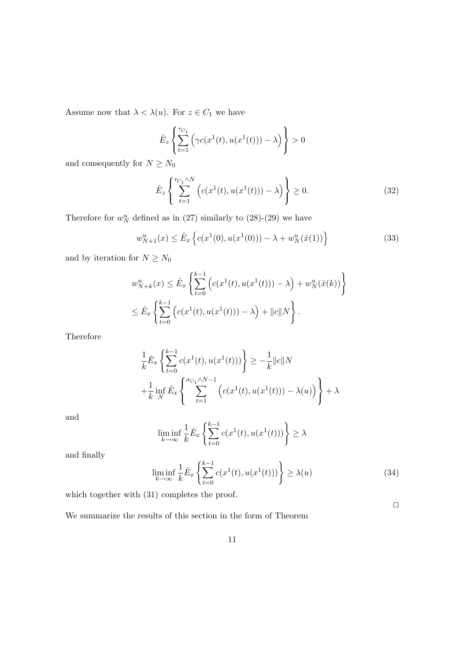Assume now that  $\lambda < \lambda(u).$  For  $z \in C_1$  we have

$$
\hat{E}_z \left\{ \sum_{t=1}^{\tau_{C_1}} \left( \gamma c(x^1(t), u(x^1(t))) - \lambda \right) \right\} > 0
$$

and consequently for  $N\ge N_0$ 

$$
\hat{E}_z \left\{ \sum_{t=1}^{\tau_{C_1} \wedge N} \left( c(x^1(t), u(x^1(t))) - \lambda \right) \right\} \ge 0. \tag{32}
$$

Therefore for  $w_N^u$  defined as in (27) similarly to (28)-(29) we have

$$
w_{N+1}^{u}(x) \le \hat{E}_x \left\{ c(x^1(0), u(x^1(0))) - \lambda + w_N^u(\hat{x}(1)) \right\}
$$
(33)

and by iteration for  $N\ge N_0$ 

$$
w_{N+k}^{u}(x) \leq \hat{E}_x \left\{ \sum_{t=0}^{k-1} \left( c(x^1(t), u(x^1(t))) - \lambda \right) + w_N^{u}(\hat{x}(k)) \right\}
$$
  

$$
\leq \hat{E}_x \left\{ \sum_{t=0}^{k-1} \left( c(x^1(t), u(x^1(t))) - \lambda \right) + ||c||N \right\}.
$$

Therefore

$$
\frac{1}{k}\hat{E}_x \left\{ \sum_{t=0}^{k-1} c(x^1(t), u(x^1(t))) \right\} \ge -\frac{1}{k} ||c||N
$$
  
+
$$
\frac{1}{k} \inf_N \hat{E}_x \left\{ \sum_{t=1}^{\sigma_{C_1} \wedge N - 1} \left( c(x^1(t), u(x^1(t))) - \lambda(u) \right) \right\} + \lambda
$$

and

$$
\liminf_{k \to \infty} \frac{1}{k} \hat{E}_x \left\{ \sum_{t=0}^{k-1} c(x^1(t), u(x^1(t))) \right\} \ge \lambda
$$

and finally

$$
\liminf_{k \to \infty} \frac{1}{k} \hat{E}_x \left\{ \sum_{t=0}^{k-1} c(x^1(t), u(x^1(t))) \right\} \ge \lambda(u)
$$
\n(34)

 $\Box$ 

which together with  $(31)$  completes the proof.

We summarize the results of this section in the form of Theorem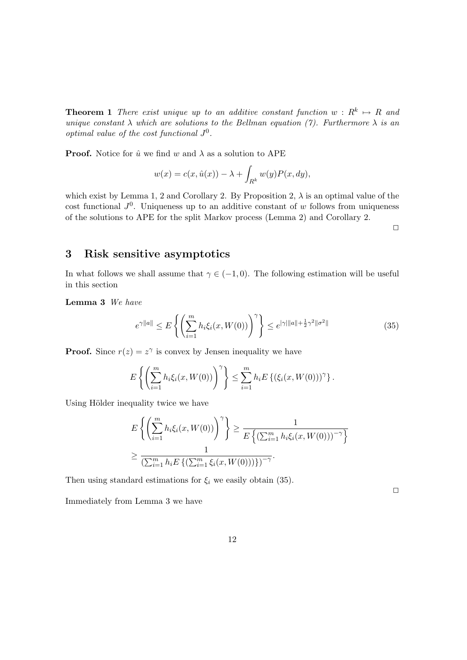**Theorem 1** There exist unique up to an additive constant function  $w: R^k \mapsto R$  and unique constant  $\lambda$  which are solutions to the Bellman equation (7). Furthermore  $\lambda$  is an optimal value of the cost functional  $J^0$ .

**Proof.** Notice for  $\hat{u}$  we find w and  $\lambda$  as a solution to APE

$$
w(x) = c(x, \hat{u}(x)) - \lambda + \int_{R^k} w(y) P(x, dy),
$$

which exist by Lemma 1, 2 and Corollary 2. By Proposition 2,  $\lambda$  is an optimal value of the cost functional  $J^0$ . Uniqueness up to an additive constant of w follows from uniqueness of the solutions to APE for the split Markov process (Lemma 2) and Corollary 2.

 $\Box$ 

## 3 Risk sensitive asymptotics

In what follows we shall assume that  $\gamma \in (-1,0)$ . The following estimation will be useful in this section

Lemma 3 We have

$$
e^{\gamma ||a||} \le E \left\{ \left( \sum_{i=1}^{m} h_i \xi_i(x, W(0)) \right)^{\gamma} \right\} \le e^{|\gamma| ||a|| + \frac{1}{2}\gamma^2 ||\sigma^2||} \tag{35}
$$

**Proof.** Since  $r(z) = z^{\gamma}$  is convex by Jensen inequality we have

$$
E\left\{ \left( \sum_{i=1}^m h_i \xi_i(x, W(0)) \right)^{\gamma} \right\} \leq \sum_{i=1}^m h_i E\left\{ (\xi_i(x, W(0)))^{\gamma} \right\}.
$$

Using Hölder inequality twice we have

$$
E\left\{ \left( \sum_{i=1}^{m} h_i \xi_i(x, W(0)) \right)^{\gamma} \right\} \ge \frac{1}{E\left\{ \left( \sum_{i=1}^{m} h_i \xi_i(x, W(0)) \right)^{-\gamma} \right\}}
$$
  

$$
\ge \frac{1}{\left( \sum_{i=1}^{m} h_i E\left\{ \left( \sum_{i=1}^{m} \xi_i(x, W(0)) \right) \right\} \right)^{-\gamma}}.
$$

Then using standard estimations for  $\xi_i$  we easily obtain (35).

Immediately from Lemma 3 we have

 $\Box$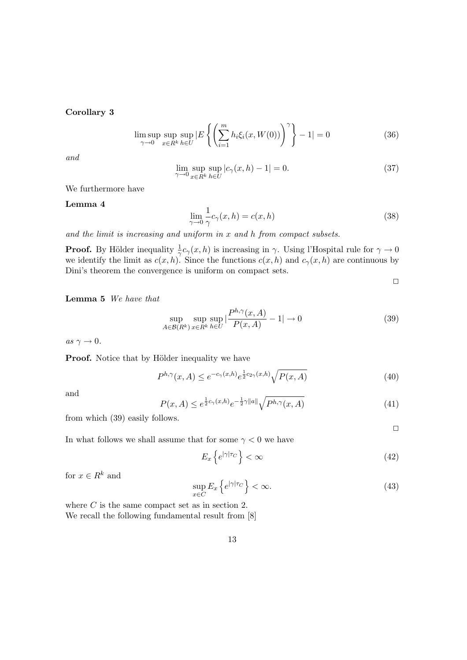### Corollary 3

$$
\limsup_{\gamma \to 0} \sup_{x \in R^k} \sup_{h \in U} |E\left\{ \left( \sum_{i=1}^m h_i \xi_i(x, W(0)) \right)^{\gamma} \right\} - 1| = 0 \tag{36}
$$

and

$$
\lim_{\gamma \to 0} \sup_{x \in R^k} \sup_{h \in U} |c_{\gamma}(x, h) - 1| = 0. \tag{37}
$$

We furthermore have

#### Lemma 4

$$
\lim_{\gamma \to 0} \frac{1}{\gamma} c_{\gamma}(x, h) = c(x, h)
$$
\n(38)

and the limit is increasing and uniform in x and h from compact subsets.

**Proof.** By Hölder inequality  $\frac{1}{\gamma}c_{\gamma}(x,h)$  is increasing in  $\gamma$ . Using l'Hospital rule for  $\gamma \to 0$ we identify the limit as  $c(x, h)$ . Since the functions  $c(x, h)$  and  $c_\gamma(x, h)$  are continuous by Dini's theorem the convergence is uniform on compact sets.

 $\Box$ 

#### Lemma 5 We have that

$$
\sup_{A \in \mathcal{B}(R^k)} \sup_{x \in R^k} \sup_{h \in U} \left| \frac{P^{h,\gamma}(x,A)}{P(x,A)} - 1 \right| \to 0 \tag{39}
$$

as  $\gamma \to 0$ .

**Proof.** Notice that by Hölder inequality we have

$$
P^{h,\gamma}(x,A) \le e^{-c_{\gamma}(x,h)} e^{\frac{1}{2}c_{2\gamma}(x,h)} \sqrt{P(x,A)}
$$
\n
$$
(40)
$$

and

$$
P(x,A) \le e^{\frac{1}{2}c_{\gamma}(x,h)}e^{-\frac{1}{2}\gamma\|a\|}\sqrt{P^{h,\gamma}(x,A)}
$$
(41)

from which (39) easily follows.

 $\Box$ 

In what follows we shall assume that for some  $\gamma < 0$  we have

$$
E_x\left\{e^{|\gamma|\tau_C}\right\} < \infty\tag{42}
$$

for  $x \in R^k$  and

$$
\sup_{x \in C} E_x \left\{ e^{|\gamma|\tau_C} \right\} < \infty. \tag{43}
$$

where  $C$  is the same compact set as in section 2. We recall the following fundamental result from [8]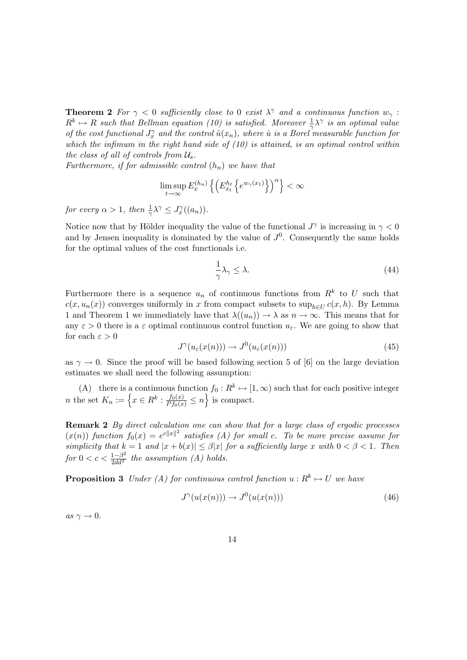**Theorem 2** For  $\gamma < 0$  sufficiently close to 0 exist  $\lambda^{\gamma}$  and a continuous function  $w_{\gamma}$ :  $R^k \mapsto R$  such that Bellman equation (10) is satisfied. Moreover  $\frac{1}{\gamma} \lambda^{\gamma}$  is an optimal value of the cost functional  $J_x^{\gamma}$  and the control  $\hat{u}(x_n)$ , where  $\hat{u}$  is a Borel measurable function for which the infimum in the right hand side of  $(10)$  is attained, is an optimal control within the class of all of controls from  $\mathcal{U}_s$ .

Furthermore, if for admissible control  $(h_n)$  we have that

$$
\limsup_{t\to\infty} E_x^{(h_n)}\left\{\left(E_{x_t}^{h_t}\left\{e^{w_\gamma(x_1)}\right\}\right)^\alpha\right\}<\infty
$$

for every  $\alpha > 1$ , then  $\frac{1}{\gamma} \lambda^{\gamma} \leq J_x^{\gamma}((a_n))$ .

Notice now that by Hölder inequality the value of the functional  $J^{\gamma}$  is increasing in  $\gamma < 0$ and by Jensen inequality is dominated by the value of  $J^0$ . Consequently the same holds for the optimal values of the cost functionals i.e.

$$
\frac{1}{\gamma}\lambda_{\gamma} \le \lambda. \tag{44}
$$

Furthermore there is a sequence  $u_n$  of continuous functions from  $R^k$  to U such that  $c(x, u_n(x))$  converges uniformly in x from compact subsets to sup<sub>h∈II</sub>  $c(x, h)$ . By Lemma 1 and Theorem 1 we immediately have that  $\lambda((u_n)) \to \lambda$  as  $n \to \infty$ . This means that for any  $\varepsilon > 0$  there is a  $\varepsilon$  optimal continuous control function  $u_{\varepsilon}$ . We are going to show that for each  $\varepsilon > 0$ 

$$
J^{\gamma}(u_{\varepsilon}(x(n))) \to J^{0}(u_{\varepsilon}(x(n))) \tag{45}
$$

as  $\gamma \to 0$ . Since the proof will be based following section 5 of [6] on the large deviation estimates we shall need the following assumption:

(A) there is a continuous function  $f_0: R^k \to [1, \infty)$  such that for each positive integer  $n$  the set  $K_n := \left\{ x \in R^k : \frac{f_0(x)}{P f_0(x)} \leq n \right\}$  is compact. ll<br>N is compact.

Remark 2 By direct calculation one can show that for a large class of ergodic processes  $(x(n))$  function  $f_0(x) = e^{c||x||^2}$  satisfies (A) for small c. To be more precise assume for simplicity that  $k = 1$  and  $|x + b(x)| \leq \beta |x|$  for a sufficiently large x with  $0 < \beta < 1$ . Then for  $0 < c < \frac{1-\beta^2}{2dd^T}$  the assumption (A) holds.

**Proposition 3** Under (A) for continuous control function  $u : R^k \mapsto U$  we have

$$
J^{\gamma}(u(x(n))) \to J^0(u(x(n))) \tag{46}
$$

as  $\gamma \to 0$ .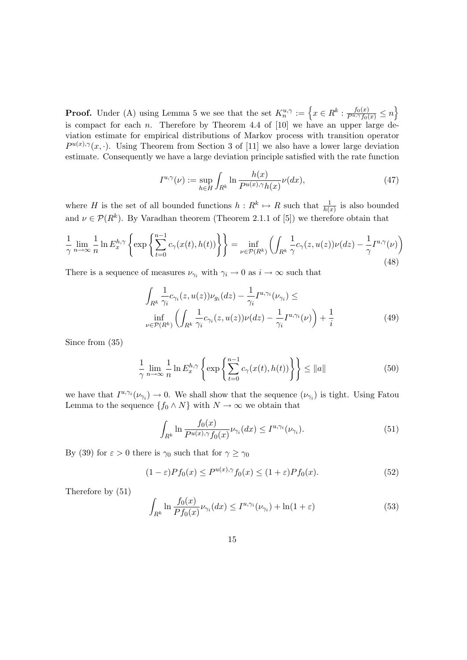**Proof.** Under (A) using Lemma 5 we see that the set  $K_n^{u,\gamma} := \left\{ x \in R^k : \frac{f_0(x)}{P^{u,\gamma}f_0(x)} \leq n \right\}$ o is compact for each n. Therefore by Theorem 4.4 of  $[10]$  we have an upper large deviation estimate for empirical distributions of Markov process with transition operator  $P^{u(x),\gamma}(x, \cdot)$ . Using Theorem from Section 3 of [11] we also have a lower large deviation estimate. Consequently we have a large deviation principle satisfied with the rate function

$$
I^{u,\gamma}(\nu) := \sup_{h \in H} \int_{R^k} \ln \frac{h(x)}{P^{u(x),\gamma}h(x)} \nu(dx),\tag{47}
$$

where H is the set of all bounded functions  $h: R^k \mapsto R$  such that  $\frac{1}{h(x)}$  is also bounded and  $\nu \in \mathcal{P}(R^k)$ . By Varadhan theorem (Theorem 2.1.1 of [5]) we therefore obtain that

$$
\frac{1}{\gamma} \lim_{n \to \infty} \frac{1}{n} \ln E_x^{h,\gamma} \left\{ \exp \left\{ \sum_{t=0}^{n-1} c_{\gamma}(x(t), h(t)) \right\} \right\} = \inf_{\nu \in \mathcal{P}(R^k)} \left( \int_{R^k} \frac{1}{\gamma} c_{\gamma}(z, u(z)) \nu(dz) - \frac{1}{\gamma} I^{u,\gamma}(\nu) \right) \tag{48}
$$

There is a sequence of measures  $\nu_{\gamma_i}$  with  $\gamma_i \to 0$  as  $i \to \infty$  such that

$$
\int_{R^k} \frac{1}{\gamma_i} c_{\gamma_i}(z, u(z)) \nu_{g_i}(dz) - \frac{1}{\gamma_i} I^{u, \gamma_i}(\nu_{\gamma_i}) \le
$$
\n
$$
\inf_{\nu \in \mathcal{P}(R^k)} \left( \int_{R^k} \frac{1}{\gamma_i} c_{\gamma_i}(z, u(z)) \nu(dz) - \frac{1}{\gamma_i} I^{u, \gamma_i}(\nu) \right) + \frac{1}{i}
$$
\n
$$
(49)
$$

Since from (35)

$$
\frac{1}{\gamma} \lim_{n \to \infty} \frac{1}{n} \ln E_x^{h,\gamma} \left\{ \exp \left\{ \sum_{t=0}^{n-1} c_\gamma(x(t), h(t)) \right\} \right\} \le \|a\| \tag{50}
$$

we have that  $I^{u,\gamma_i}(\nu_{\gamma_i}) \to 0$ . We shall show that the sequence  $(\nu_{\gamma_i})$  is tight. Using Fatou Lemma to the sequence  $\{f_0 \wedge N\}$  with  $N \to \infty$  we obtain that

$$
\int_{R^k} \ln \frac{f_0(x)}{P^{u(x),\gamma} f_0(x)} \nu_{\gamma_i}(dx) \le I^{u,\gamma_i}(\nu_{\gamma_i}).\tag{51}
$$

By (39) for  $\varepsilon > 0$  there is  $\gamma_0$  such that for  $\gamma \ge \gamma_0$ 

$$
(1 - \varepsilon)Pf_0(x) \le P^{u(x), \gamma}f_0(x) \le (1 + \varepsilon)Pf_0(x). \tag{52}
$$

Therefore by (51)

$$
\int_{R^k} \ln \frac{f_0(x)}{Pf_0(x)} \nu_{\gamma_i}(dx) \le I^{u, \gamma_i}(\nu_{\gamma_i}) + \ln(1+\varepsilon)
$$
\n(53)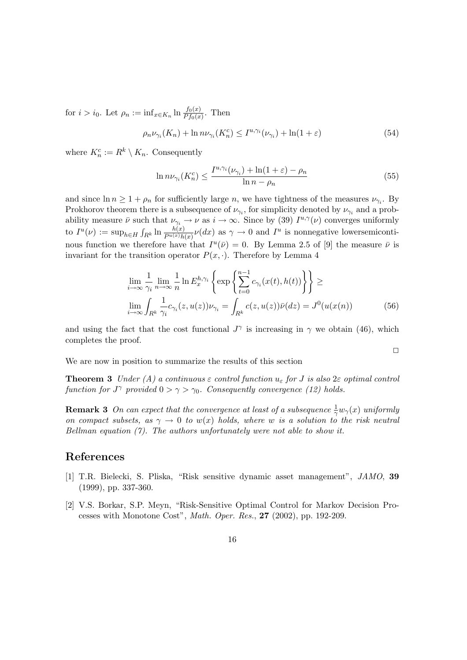for  $i > i_0$ . Let  $\rho_n := \inf_{x \in K_n} \ln \frac{f_0(x)}{P f_0(x)}$ . Then

$$
\rho_n \nu_{\gamma_i}(K_n) + \ln n \nu_{\gamma_i}(K_n^c) \le I^{u, \gamma_i}(\nu_{\gamma_i}) + \ln(1 + \varepsilon)
$$
\n(54)

where  $K_n^c := R^k \setminus K_n$ . Consequently

$$
\ln n\nu_{\gamma_i}(K_n^c) \le \frac{I^{u,\gamma_i}(\nu_{\gamma_i}) + \ln(1+\varepsilon) - \rho_n}{\ln n - \rho_n} \tag{55}
$$

and since  $\ln n \geq 1 + \rho_n$  for sufficiently large n, we have tightness of the measures  $\nu_{\gamma_i}$ . By Prokhorov theorem there is a subsequence of  $\nu_{\gamma_i}$ , for simplicity denoted by  $\nu_{\gamma_i}$  and a probability measure  $\bar{\nu}$  such that  $\nu_{\gamma_i} \to \nu$  as  $i \to \infty$ . Since by (39)  $I^{u,\gamma}(\nu)$  converges uniformly to  $I^u(\nu) := \sup_{h \in H} \int_{R^k} \ln \frac{h(x)}{P^{u(x)} h(x)} \nu(dx)$  as  $\gamma \to 0$  and  $I^u$  is nonnegative lowersemicontinous function we therefore have that  $I^u(\bar{\nu}) = 0$ . By Lemma 2.5 of [9] the measure  $\bar{\nu}$  is invariant for the transition operator  $P(x, \cdot)$ . Therefore by Lemma 4

$$
\lim_{i \to \infty} \frac{1}{\gamma_i} \lim_{n \to \infty} \frac{1}{n} \ln E_x^{h, \gamma_i} \left\{ \exp \left\{ \sum_{t=0}^{n-1} c_{\gamma_i}(x(t), h(t)) \right\} \right\} \ge
$$
\n
$$
\lim_{i \to \infty} \int_{R^k} \frac{1}{\gamma_i} c_{\gamma_i}(z, u(z)) \nu_{\gamma_i} = \int_{R^k} c(z, u(z)) \bar{\nu}(dz) = J^0(u(x(n)) \tag{56}
$$

 $\Box$ 

and using the fact that the cost functional  $J^{\gamma}$  is increasing in  $\gamma$  we obtain (46), which completes the proof.

We are now in position to summarize the results of this section

**Theorem 3** Under (A) a continuous  $\varepsilon$  control function  $u_{\varepsilon}$  for J is also  $2\varepsilon$  optimal control function for  $J^{\gamma}$  provided  $0 > \gamma > \gamma_0$ . Consequently convergence (12) holds.

**Remark 3** On can expect that the convergence at least of a subsequence  $\frac{1}{\gamma}w_{\gamma}(x)$  uniformly on compact subsets, as  $\gamma \to 0$  to  $w(x)$  holds, where w is a solution to the risk neutral Bellman equation  $(7)$ . The authors unfortunately were not able to show it.

## References

- [1] T.R. Bielecki, S. Pliska, "Risk sensitive dynamic asset management", JAMO, 39 (1999), pp. 337-360.
- [2] V.S. Borkar, S.P. Meyn, "Risk-Sensitive Optimal Control for Markov Decision Processes with Monotone Cost", Math. Oper. Res., 27 (2002), pp. 192-209.